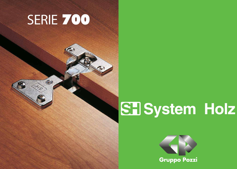# SERIE 700



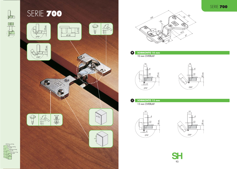**SORMONTO 13 mm** 13 mm OVERLAY  $\bullet$ 



**SORMONTO 10 mm** 10 mm OVERLAY 0



2500 fino a 20 Kg.

600

## SERIE 700













**SH** 

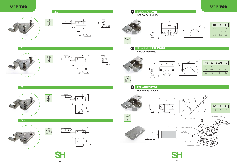### SERIE 700





 $/RO$ 





 $/$ E



**PER ANTE VETRO** FOR GLASS DOORS 8

FISSAGGIO A **PRESSIONE** KNOCK-IN FIXING 3/2







/R10





夏





ø4.7 15

FISSAGGIO A **VITE** SCREW-ON FIXING 8

| INT. | A   | υ  |  |
|------|-----|----|--|
| 48   | 6   | 62 |  |
| 4.5  | 9.5 | 62 |  |
| .52  | 5.5 | 66 |  |

| INT. | $\mathbf{A}$ | DIAM. |    |
|------|--------------|-------|----|
| 48   | 6            | 10    | 62 |
| 4.5  | 9.5          | 8     | 62 |
| 52   | 5.5          | 10    | 66 |









 $\frac{2}{\cancel{66.3}}$ 

 $/RS$ 





10